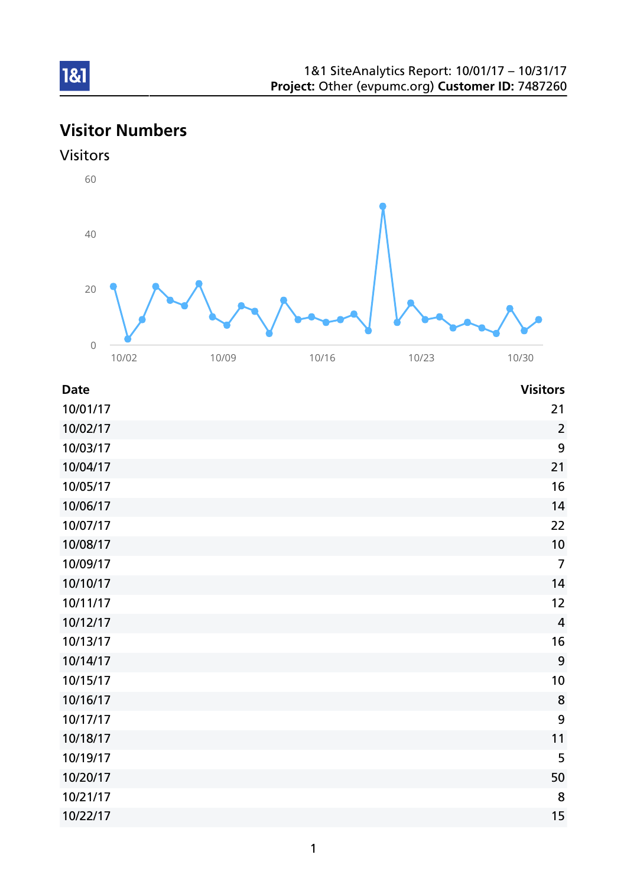# Visitor Numbers





| <b>Date</b> | <b>Visitors</b> |
|-------------|-----------------|
| 10/01/17    | 21              |
| 10/02/17    | $\overline{2}$  |
| 10/03/17    | 9               |
| 10/04/17    | 21              |
| 10/05/17    | 16              |
| 10/06/17    | 14              |
| 10/07/17    | 22              |
| 10/08/17    | 10              |
| 10/09/17    | $\overline{7}$  |
| 10/10/17    | 14              |
| 10/11/17    | 12              |
| 10/12/17    | $\overline{4}$  |
| 10/13/17    | 16              |
| 10/14/17    | 9               |
| 10/15/17    | 10              |
| 10/16/17    | 8               |
| 10/17/17    | 9               |
| 10/18/17    | 11              |
| 10/19/17    | 5               |
| 10/20/17    | 50              |
| 10/21/17    | 8               |
| 10/22/17    | 15              |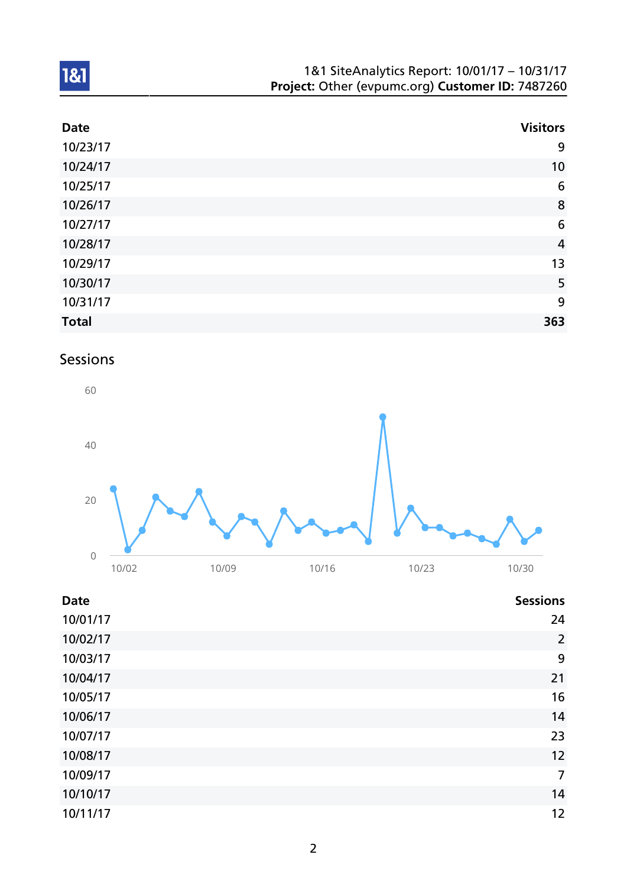| 1&1 SiteAnalytics Report: 10/01/17 - 10/31/17    |  |
|--------------------------------------------------|--|
| Project: Other (evpumc.org) Customer ID: 7487260 |  |

| <b>Date</b>  | <b>Visitors</b> |
|--------------|-----------------|
| 10/23/17     | 9               |
| 10/24/17     | 10              |
| 10/25/17     | $6\phantom{1}6$ |
| 10/26/17     | 8               |
| 10/27/17     | $6\phantom{1}6$ |
| 10/28/17     | $\overline{4}$  |
| 10/29/17     | 13              |
| 10/30/17     | 5               |
| 10/31/17     | 9               |
| <b>Total</b> | 363             |

# Sessions



| <b>Date</b> | <b>Sessions</b> |
|-------------|-----------------|
| 10/01/17    | 24              |
| 10/02/17    | $\overline{2}$  |
| 10/03/17    | 9               |
| 10/04/17    | 21              |
| 10/05/17    | 16              |
| 10/06/17    | 14              |
| 10/07/17    | 23              |
| 10/08/17    | 12              |
| 10/09/17    | $\overline{7}$  |
| 10/10/17    | 14              |
| 10/11/17    | 12              |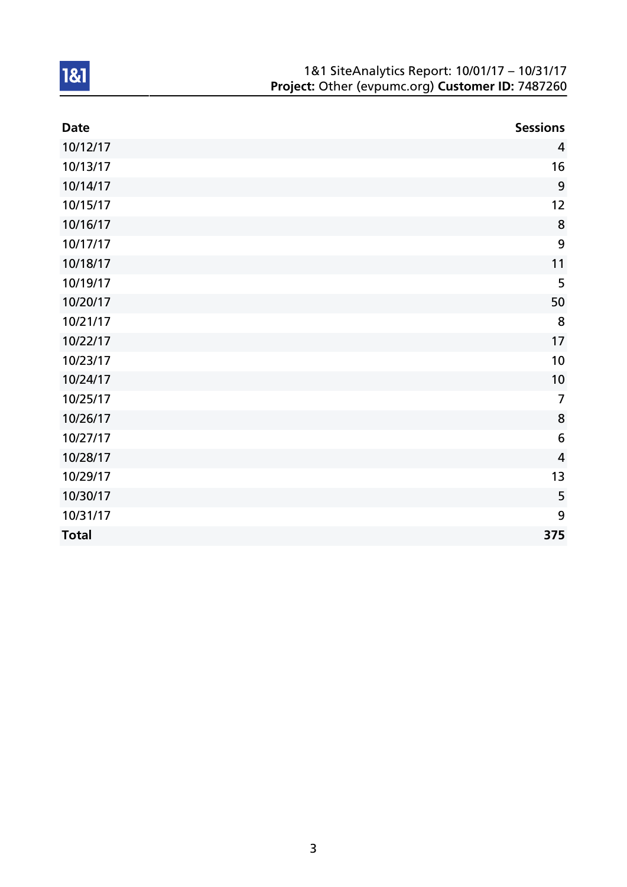| 1&1 SiteAnalytics Report: 10/01/17 - 10/31/17    |
|--------------------------------------------------|
| Project: Other (evpumc.org) Customer ID: 7487260 |

| <b>Date</b>  | <b>Sessions</b> |
|--------------|-----------------|
| 10/12/17     | $\overline{4}$  |
| 10/13/17     | 16              |
| 10/14/17     | 9               |
| 10/15/17     | 12              |
| 10/16/17     | 8               |
| 10/17/17     | 9               |
| 10/18/17     | 11              |
| 10/19/17     | 5               |
| 10/20/17     | 50              |
| 10/21/17     | 8               |
| 10/22/17     | 17              |
| 10/23/17     | 10              |
| 10/24/17     | 10              |
| 10/25/17     | $\overline{7}$  |
| 10/26/17     | 8               |
| 10/27/17     | $6\phantom{1}6$ |
| 10/28/17     | $\overline{4}$  |
| 10/29/17     | 13              |
| 10/30/17     | 5               |
| 10/31/17     | 9               |
| <b>Total</b> | 375             |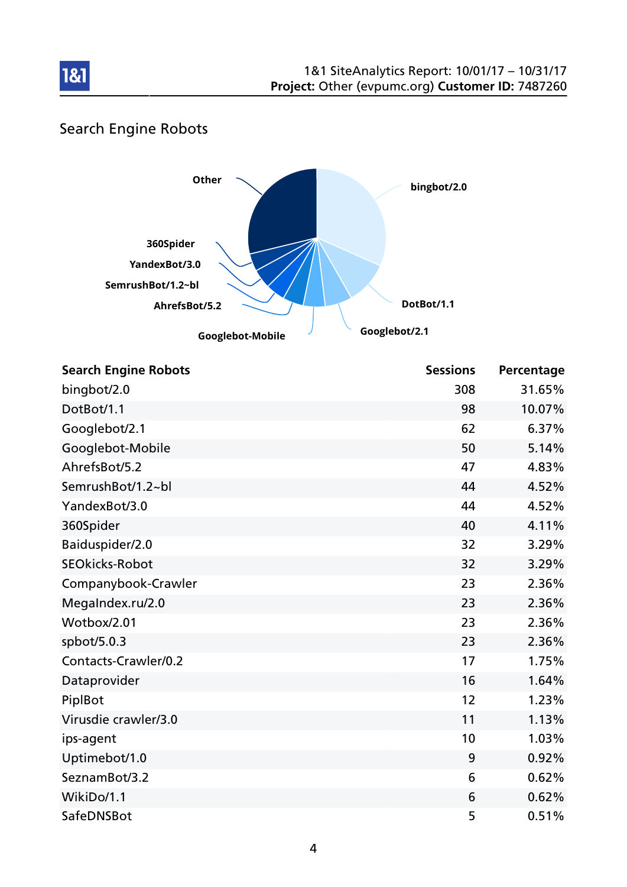

# Search Engine Robots



| <b>Search Engine Robots</b> | <b>Sessions</b> | Percentage |
|-----------------------------|-----------------|------------|
| bingbot/2.0                 | 308             | 31.65%     |
| DotBot/1.1                  | 98              | 10.07%     |
| Googlebot/2.1               | 62              | 6.37%      |
| Googlebot-Mobile            | 50              | 5.14%      |
| AhrefsBot/5.2               | 47              | 4.83%      |
| SemrushBot/1.2~bl           | 44              | 4.52%      |
| YandexBot/3.0               | 44              | 4.52%      |
| 360Spider                   | 40              | 4.11%      |
| Baiduspider/2.0             | 32              | 3.29%      |
| <b>SEOkicks-Robot</b>       | 32              | 3.29%      |
| Companybook-Crawler         | 23              | 2.36%      |
| MegaIndex.ru/2.0            | 23              | 2.36%      |
| Wotbox/2.01                 | 23              | 2.36%      |
| spbot/5.0.3                 | 23              | 2.36%      |
| Contacts-Crawler/0.2        | 17              | 1.75%      |
| Dataprovider                | 16              | 1.64%      |
| PiplBot                     | 12              | 1.23%      |
| Virusdie crawler/3.0        | 11              | 1.13%      |
| ips-agent                   | 10              | 1.03%      |
| Uptimebot/1.0               | 9               | 0.92%      |
| SeznamBot/3.2               | 6               | 0.62%      |
| WikiDo/1.1                  | 6               | 0.62%      |
| SafeDNSBot                  | 5               | 0.51%      |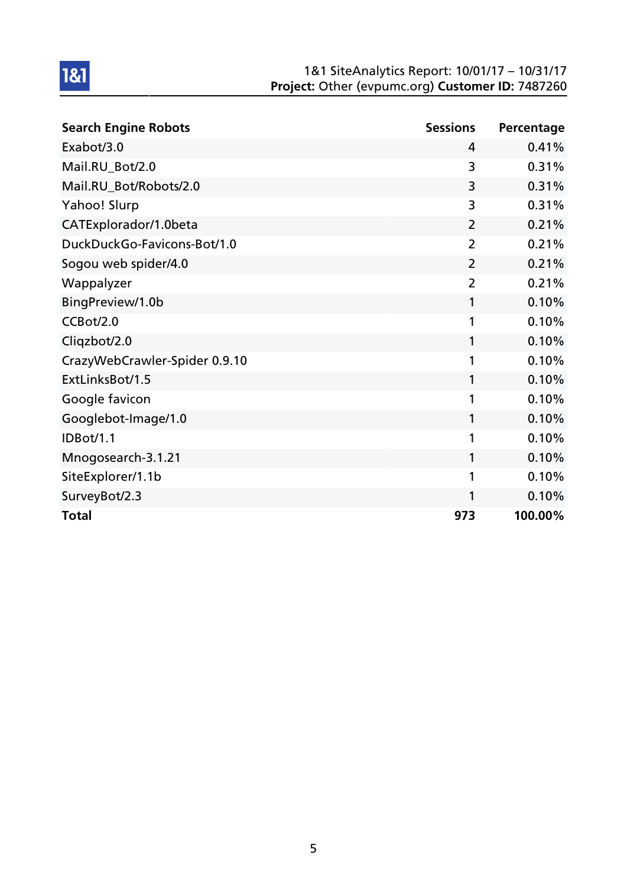#### 1&1 SiteAnalytics Report: 10/01/17 – 10/31/17 Project: Other (evpumc.org) Customer ID: 7487260

| <b>Search Engine Robots</b>   | <b>Sessions</b> | Percentage |
|-------------------------------|-----------------|------------|
| Exabot/3.0                    | 4               | 0.41%      |
| Mail.RU_Bot/2.0               | 3               | 0.31%      |
| Mail.RU_Bot/Robots/2.0        | 3               | 0.31%      |
| Yahoo! Slurp                  | 3               | 0.31%      |
| CATExplorador/1.0beta         | 2               | 0.21%      |
| DuckDuckGo-Favicons-Bot/1.0   | $\overline{2}$  | 0.21%      |
| Sogou web spider/4.0          | $\overline{2}$  | 0.21%      |
| Wappalyzer                    | 2               | 0.21%      |
| BingPreview/1.0b              | 1               | 0.10%      |
| CCBot/2.0                     | 1               | 0.10%      |
| Cliqzbot/2.0                  | 1               | 0.10%      |
| CrazyWebCrawler-Spider 0.9.10 | 1               | 0.10%      |
| ExtLinksBot/1.5               | 1               | 0.10%      |
| Google favicon                | 1               | 0.10%      |
| Googlebot-Image/1.0           | 1               | 0.10%      |
| IDBot/1.1                     | 1               | 0.10%      |
| Mnogosearch-3.1.21            | 1               | 0.10%      |
| SiteExplorer/1.1b             | 1               | 0.10%      |
| SurveyBot/2.3                 | 1               | 0.10%      |
| <b>Total</b>                  | 973             | 100.00%    |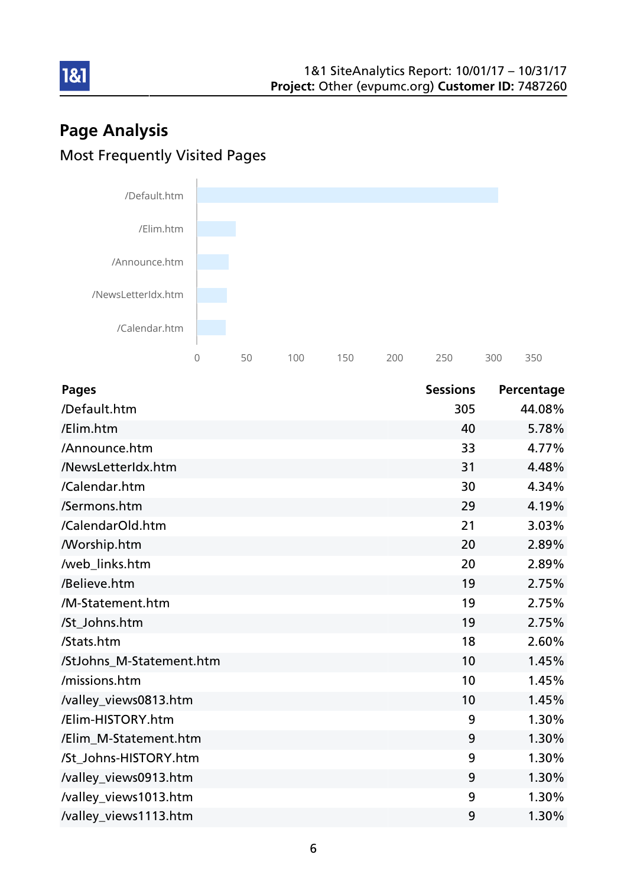# Page Analysis Most Frequently Visited Pages



| <b>Pages</b>             | <b>Sessions</b> | Percentage |
|--------------------------|-----------------|------------|
| /Default.htm             | 305             | 44.08%     |
| /Elim.htm                | 40              | 5.78%      |
| /Announce.htm            | 33              | 4.77%      |
| /NewsLetterIdx.htm       | 31              | 4.48%      |
| /Calendar.htm            | 30              | 4.34%      |
| /Sermons.htm             | 29              | 4.19%      |
| /CalendarOld.htm         | 21              | 3.03%      |
| <b>Morship.htm</b>       | 20              | 2.89%      |
| /web_links.htm           | 20              | 2.89%      |
| /Believe.htm             | 19              | 2.75%      |
| /M-Statement.htm         | 19              | 2.75%      |
| /St_Johns.htm            | 19              | 2.75%      |
| /Stats.htm               | 18              | 2.60%      |
| /StJohns_M-Statement.htm | 10              | 1.45%      |
| /missions.htm            | 10              | 1.45%      |
| /valley_views0813.htm    | 10              | 1.45%      |
| /Elim-HISTORY.htm        | 9               | 1.30%      |
| /Elim M-Statement.htm    | 9               | 1.30%      |
| /St_Johns-HISTORY.htm    | 9               | 1.30%      |
| /valley_views0913.htm    | 9               | 1.30%      |
| /valley_views1013.htm    | 9               | 1.30%      |
| /valley_views1113.htm    | 9               | 1.30%      |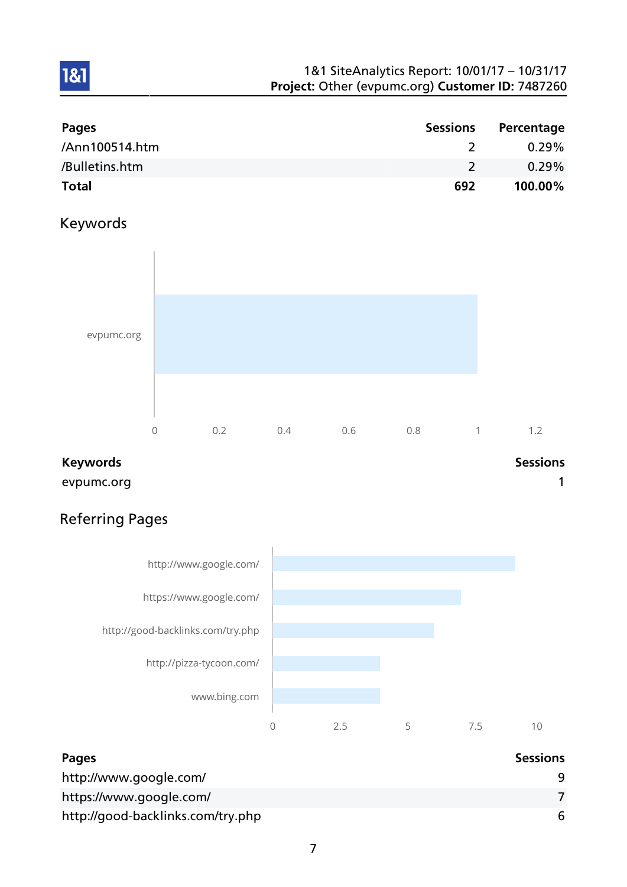#### 1&1 SiteAnalytics Report: 10/01/17 – 10/31/17 Project: Other (evpumc.org) Customer ID: 7487260

| <b>Pages</b>   | <b>Sessions</b> | Percentage |
|----------------|-----------------|------------|
| /Ann100514.htm |                 | $0.29\%$   |
| /Bulletins.htm |                 | $0.29\%$   |
| <b>Total</b>   | 692             | 100.00%    |

## Keywords

1&1



#### Keywords **Sessions**

evpumc.org and the contract of the contract of the contract of the contract of the contract of the contract of the contract of the contract of the contract of the contract of the contract of the contract of the contract of

# Referring Pages



| Pages                             | <b>Sessions</b> |
|-----------------------------------|-----------------|
| http://www.google.com/            |                 |
| https://www.google.com/           |                 |
| http://good-backlinks.com/try.php | 6               |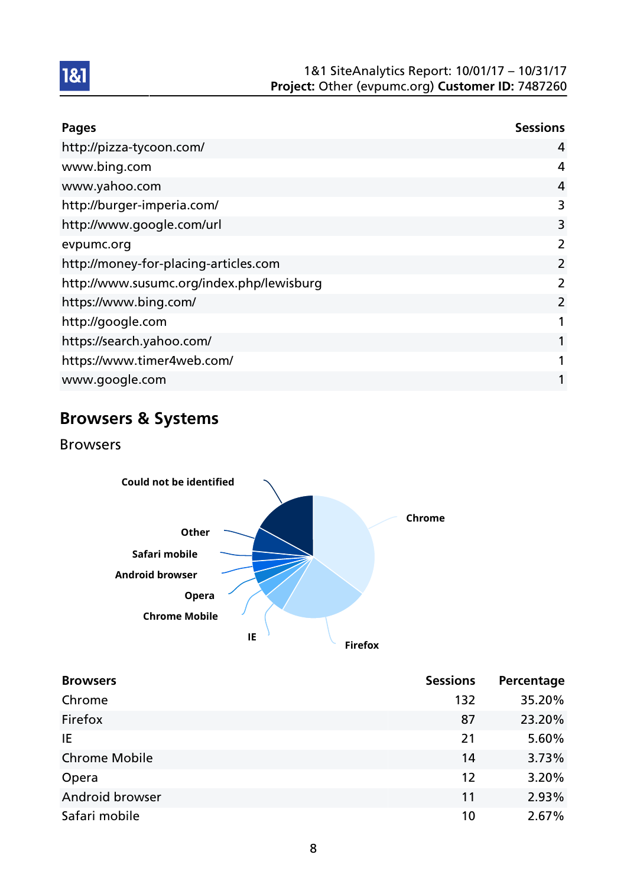

| <b>Pages</b>                              | <b>Sessions</b> |
|-------------------------------------------|-----------------|
| http://pizza-tycoon.com/                  | 4               |
| www.bing.com                              | 4               |
| www.yahoo.com                             | $\overline{4}$  |
| http://burger-imperia.com/                | 3               |
| http://www.google.com/url                 | 3               |
| evpumc.org                                | 2               |
| http://money-for-placing-articles.com     | $\overline{2}$  |
| http://www.susumc.org/index.php/lewisburg | 2               |
| https://www.bing.com/                     | 2               |
| http://google.com                         |                 |
| https://search.yahoo.com/                 |                 |
| https://www.timer4web.com/                |                 |
| www.google.com                            |                 |

# Browsers & Systems

Browsers



| <b>Browsers</b>        | <b>Sessions</b> | Percentage |
|------------------------|-----------------|------------|
| Chrome                 | 132             | 35.20%     |
| Firefox                | 87              | 23.20%     |
| IE                     | 21              | 5.60%      |
| <b>Chrome Mobile</b>   | 14              | 3.73%      |
| Opera                  | 12              | 3.20%      |
| <b>Android browser</b> | 11              | 2.93%      |
| Safari mobile          | 10              | 2.67%      |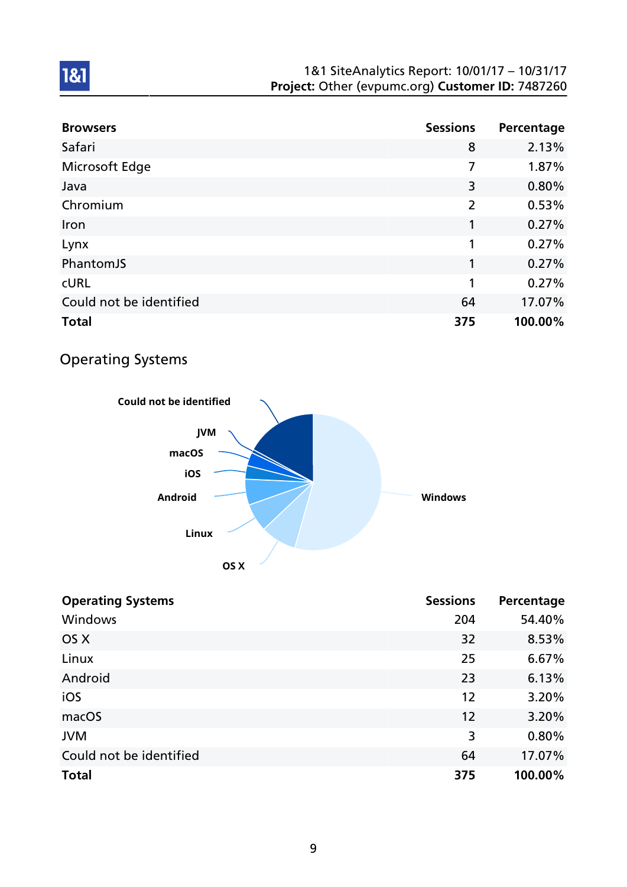#### 1&1 SiteAnalytics Report: 10/01/17 – 10/31/17 Project: Other (evpumc.org) Customer ID: 7487260

| <b>Browsers</b>         | <b>Sessions</b> | Percentage |
|-------------------------|-----------------|------------|
| Safari                  | 8               | 2.13%      |
| Microsoft Edge          | 7               | 1.87%      |
| Java                    | 3               | 0.80%      |
| Chromium                | $\overline{2}$  | 0.53%      |
| Iron                    | 1               | 0.27%      |
| Lynx                    | 1               | 0.27%      |
| PhantomJS               | 1               | 0.27%      |
| <b>CURL</b>             | 1               | 0.27%      |
| Could not be identified | 64              | 17.07%     |
| <b>Total</b>            | 375             | 100.00%    |

## Operating Systems



| <b>Operating Systems</b> | <b>Sessions</b> | Percentage |
|--------------------------|-----------------|------------|
| Windows                  | 204             | 54.40%     |
| OS X                     | 32              | 8.53%      |
| Linux                    | 25              | 6.67%      |
| Android                  | 23              | 6.13%      |
| iOS                      | 12              | 3.20%      |
| macOS                    | 12              | 3.20%      |
| <b>JVM</b>               | 3               | 0.80%      |
| Could not be identified  | 64              | 17.07%     |
| <b>Total</b>             | 375             | 100.00%    |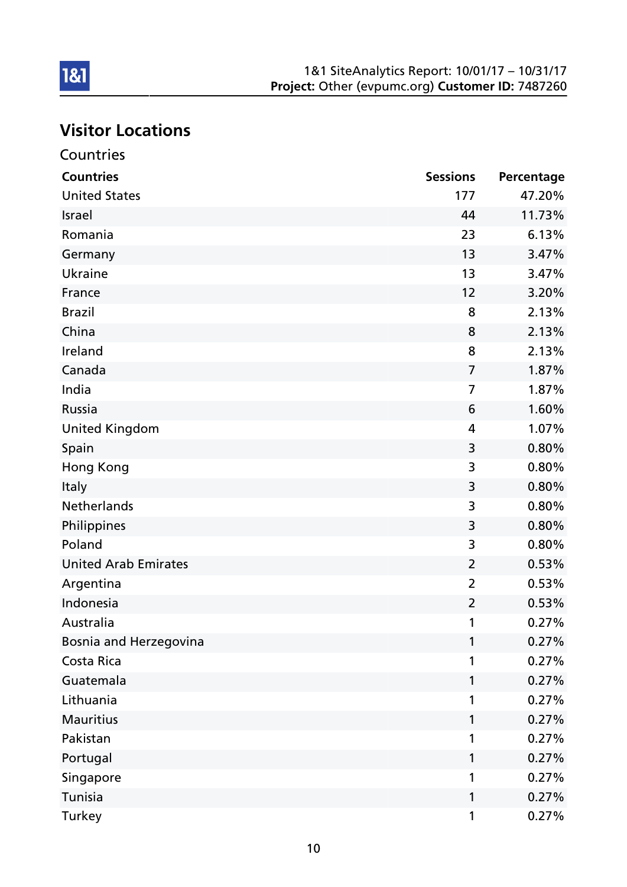# Visitor Locations

| Countries                   |                 |            |
|-----------------------------|-----------------|------------|
| <b>Countries</b>            | <b>Sessions</b> | Percentage |
| <b>United States</b>        | 177             | 47.20%     |
| <b>Israel</b>               | 44              | 11.73%     |
| Romania                     | 23              | 6.13%      |
| Germany                     | 13              | 3.47%      |
| Ukraine                     | 13              | 3.47%      |
| France                      | 12              | 3.20%      |
| <b>Brazil</b>               | 8               | 2.13%      |
| China                       | 8               | 2.13%      |
| Ireland                     | 8               | 2.13%      |
| Canada                      | $\overline{7}$  | 1.87%      |
| India                       | $\overline{7}$  | 1.87%      |
| Russia                      | 6               | 1.60%      |
| <b>United Kingdom</b>       | $\overline{4}$  | 1.07%      |
| Spain                       | 3               | 0.80%      |
| Hong Kong                   | 3               | 0.80%      |
| Italy                       | 3               | 0.80%      |
| <b>Netherlands</b>          | 3               | 0.80%      |
| Philippines                 | 3               | 0.80%      |
| Poland                      | 3               | 0.80%      |
| <b>United Arab Emirates</b> | $\overline{2}$  | 0.53%      |
| Argentina                   | $\overline{2}$  | 0.53%      |
| Indonesia                   | 2               | 0.53%      |
| Australia                   |                 | 0.27%      |
| Bosnia and Herzegovina      | 1               | 0.27%      |
| Costa Rica                  | 1               | 0.27%      |
| Guatemala                   | 1               | 0.27%      |
| Lithuania                   | 1               | 0.27%      |
| <b>Mauritius</b>            | 1               | 0.27%      |
| Pakistan                    | 1               | 0.27%      |
| Portugal                    | 1               | 0.27%      |
| Singapore                   | 1               | 0.27%      |
| Tunisia                     | 1               | 0.27%      |
| <b>Turkey</b>               | 1               | 0.27%      |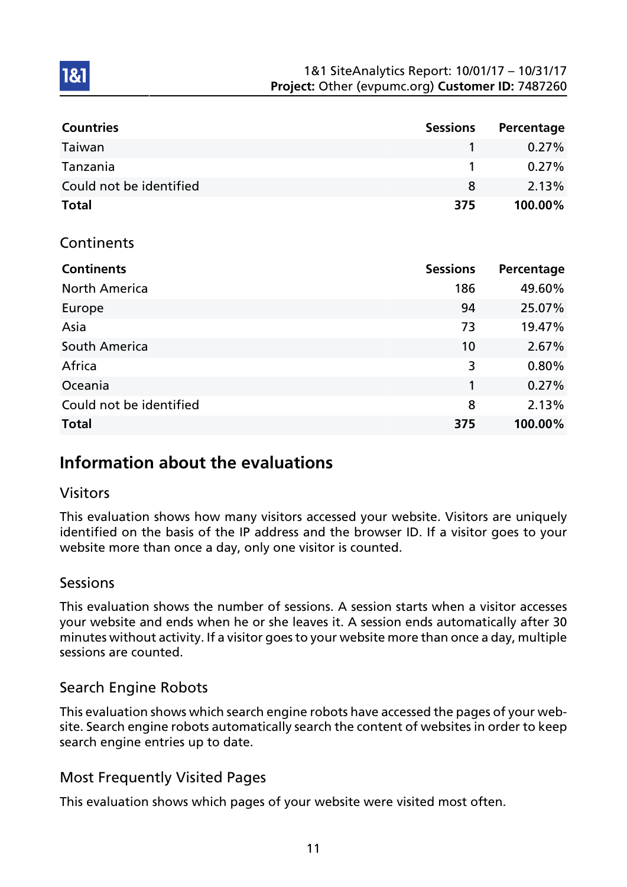| <b>Countries</b>        | <b>Sessions</b> | Percentage |
|-------------------------|-----------------|------------|
| Taiwan                  |                 | $0.27\%$   |
| Tanzania                |                 | $0.27\%$   |
| Could not be identified | 8               | 2.13%      |
| <b>Total</b>            | 375             | 100.00%    |

#### **Continents**

**1&1** 

| <b>Continents</b>       | <b>Sessions</b> | Percentage |
|-------------------------|-----------------|------------|
| <b>North America</b>    | 186             | 49.60%     |
| Europe                  | 94              | 25.07%     |
| Asia                    | 73              | 19.47%     |
| South America           | 10              | 2.67%      |
| Africa                  | 3               | 0.80%      |
| Oceania                 | 1               | 0.27%      |
| Could not be identified | 8               | 2.13%      |
| <b>Total</b>            | 375             | 100.00%    |

## Information about the evaluations

## Visitors

This evaluation shows how many visitors accessed your website. Visitors are uniquely identified on the basis of the IP address and the browser ID. If a visitor goes to your website more than once a day, only one visitor is counted.

## Sessions

This evaluation shows the number of sessions. A session starts when a visitor accesses your website and ends when he or she leaves it. A session ends automatically after 30 minutes without activity. If a visitor goes to your website more than once a day, multiple sessions are counted.

## Search Engine Robots

This evaluation shows which search engine robots have accessed the pages of your website. Search engine robots automatically search the content of websites in order to keep search engine entries up to date.

## Most Frequently Visited Pages

This evaluation shows which pages of your website were visited most often.